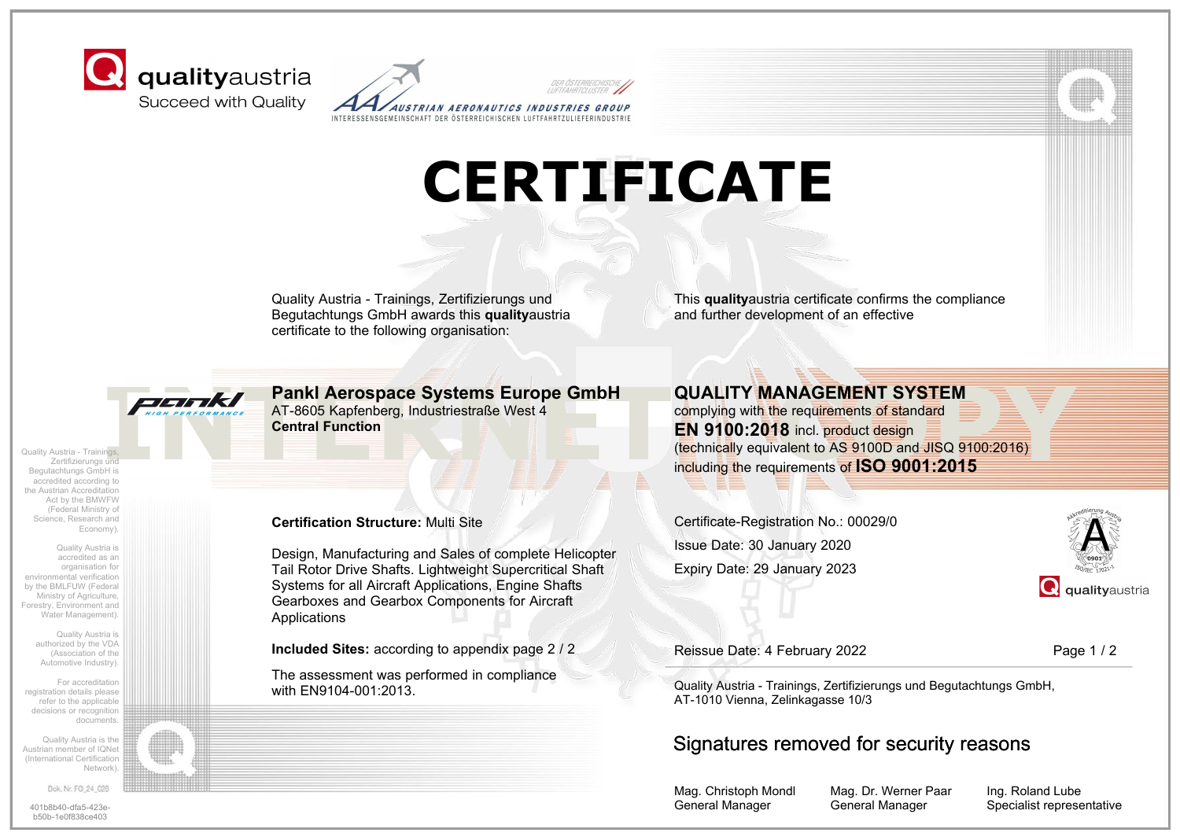



## **CERTIFICATE**

Quality Austria - Trainings, Zertifizierungs und Begutachtungs GmbH awards this **quality**austria certificate to the following organisation:

Quality Austria - Trainings, Zertifizierungs und Begutachtungs GmbH is accredited according to the Austrian Accreditation Act by the BMWFW (Federal Ministry of Science, Research and Economy).

Quality Austria is accredited as an organisation for environmental verification by the BMLFUW (Federal Ministry of Agriculture, Forestry, Environment and Water Management).

> Quality Austria is authorized by the VDA (Association of the Automotive Industry).

For accreditation registration details please refer to the applicable decisions or recognition documents.

Quality Austria is the Austrian member of IQNet (International Certification Network).

Dok. Nr. FO\_24\_028

b50b-1e0f838ce403

AT-8605 Kapfenberg, Industriestraße West 4 **Central Function**

#### **Certification Structure:** Multi Site

Design, Manufacturing and Sales of complete Helicopter Tail Rotor Drive Shafts. Lightweight Supercritical Shaft Systems for all Aircraft Applications, Engine Shafts Gearboxes and Gearbox Components for Aircraft Applications

**Included Sites:** according to appendix page 2 / 2

The assessment was performed in compliance with EN9104-001:2013.

This **quality**austria certificate confirms the compliance and further development of an effective

**INTERNET COPYSITED AT-8605 Kapfenberg, Industriestraße West 4<br>
AT-8605 Kapfenberg, Industriestraße West 4<br>
Central Function<br>
This<br>
Pankl <b>Action 2018**<br>
Complying with the requirements of standard<br>
EN 9100:2018 including t **QUALITY MANAGEMENT SYSTEM** complying with the requirements of standard **EN 9100:2018** incl. product design (technically equivalent to AS 9100D and JISQ 9100:2016) including the requirements of **ISO 9001:2015**

> Certificate-Registration No.: 00029/0 Expiry Date: 29 January 2023 Issue Date: 30 January 2020



Reissue Date: 4 February 2022 Page 1 / 2

Quality Austria - Trainings, Zertifizierungs und Begutachtungs GmbH, AT-1010 Vienna, Zelinkagasse 10/3

### Signatures removed for security reasons

Mag. Christoph Mondl General Manager

Mag. Dr. Werner Paar General Manager

Ing. Roland Lube 401b8b40-dfa5-423e- Specialist representative